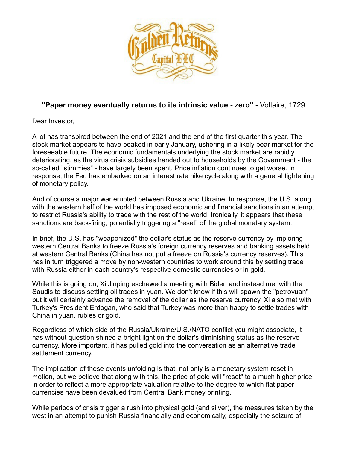

## **"Paper money eventually returns to its intrinsic value - zero"** - Voltaire, 1729

Dear Investor,

A lot has transpired between the end of 2021 and the end of the first quarter this year. The stock market appears to have peaked in early January, ushering in a likely bear market for the foreseeable future. The economic fundamentals underlying the stock market are rapidly deteriorating, as the virus crisis subsidies handed out to households by the Government - the so-called "stimmies" - have largely been spent. Price inflation continues to get worse. In response, the Fed has embarked on an interest rate hike cycle along with a general tightening of monetary policy.

And of course a major war erupted between Russia and Ukraine. In response, the U.S. along with the western half of the world has imposed economic and financial sanctions in an attempt to restrict Russia's ability to trade with the rest of the world. Ironically, it appears that these sanctions are back-firing, potentially triggering a "reset" of the global monetary system.

In brief, the U.S. has "weaponized" the dollar's status as the reserve currency by imploring western Central Banks to freeze Russia's foreign currency reserves and banking assets held at western Central Banks (China has not put a freeze on Russia's currency reserves). This has in turn triggered a move by non-western countries to work around this by settling trade with Russia either in each country's respective domestic currencies or in gold.

While this is going on, Xi Jinping eschewed a meeting with Biden and instead met with the Saudis to discuss settling oil trades in yuan. We don't know if this will spawn the "petroyuan" but it will certainly advance the removal of the dollar as the reserve currency. Xi also met with Turkey's President Erdogan, who said that Turkey was more than happy to settle trades with China in yuan, rubles or gold.

Regardless of which side of the Russia/Ukraine/U.S./NATO conflict you might associate, it has without question shined a bright light on the dollar's diminishing status as the reserve currency. More important, it has pulled gold into the conversation as an alternative trade settlement currency.

The implication of these events unfolding is that, not only is a monetary system reset in motion, but we believe that along with this, the price of gold will "reset" to a much higher price in order to reflect a more appropriate valuation relative to the degree to which fiat paper currencies have been devalued from Central Bank money printing.

While periods of crisis trigger a rush into physical gold (and silver), the measures taken by the west in an attempt to punish Russia financially and economically, especially the seizure of